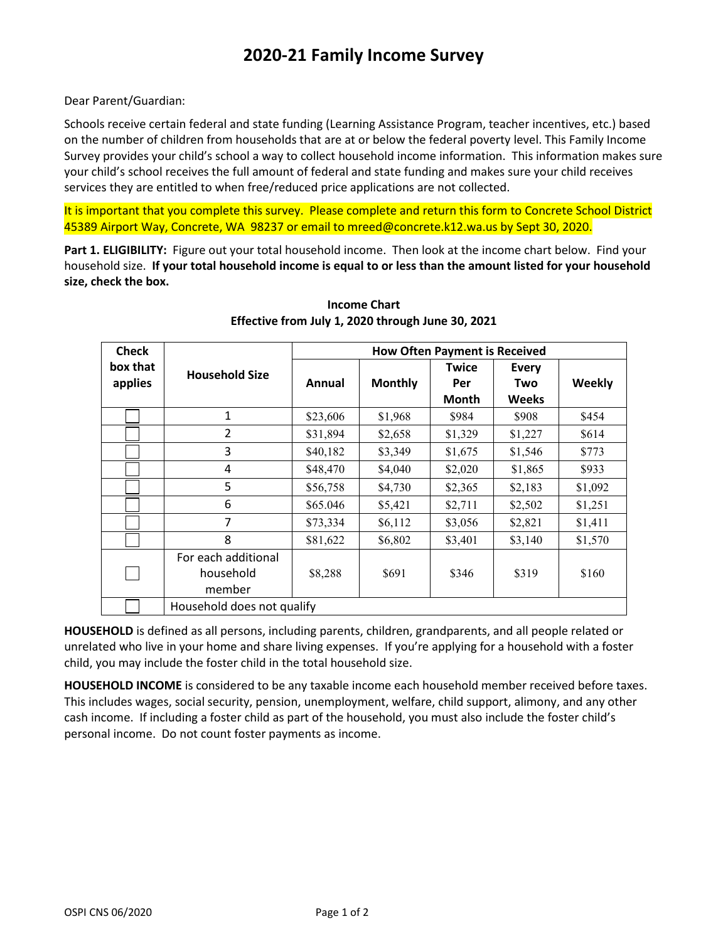Dear Parent/Guardian:

Schools receive certain federal and state funding (Learning Assistance Program, teacher incentives, etc.) based on the number of children from households that are at or below the federal poverty level. This Family Income Survey provides your child's school a way to collect household income information. This information makes sure your child's school receives the full amount of federal and state funding and makes sure your child receives services they are entitled to when free/reduced price applications are not collected.

It is important that you complete this survey. Please complete and return this form to Concrete School District 45389 Airport Way, Concrete, WA 98237 or email to mreed@concrete.k12.wa.us by Sept 30, 2020.

**Part 1. ELIGIBILITY:** Figure out your total household income. Then look at the income chart below. Find your household size. **If your total household income is equal to or less than the amount listed for your household size, check the box.**

| <b>Check</b>        |                                            | <b>How Often Payment is Received</b> |                |                     |              |         |  |
|---------------------|--------------------------------------------|--------------------------------------|----------------|---------------------|--------------|---------|--|
| box that<br>applies | <b>Household Size</b>                      | Annual                               | <b>Monthly</b> | <b>Twice</b><br>Per | Every<br>Two | Weekly  |  |
|                     |                                            |                                      |                | Month               | <b>Weeks</b> |         |  |
|                     | 1                                          | \$23,606                             | \$1,968        | \$984               | \$908        | \$454   |  |
|                     | $\overline{2}$                             | \$31,894                             | \$2,658        | \$1,329             | \$1,227      | \$614   |  |
|                     | 3                                          | \$40,182                             | \$3,349        | \$1,675             | \$1,546      | \$773   |  |
|                     | 4                                          | \$48,470                             | \$4,040        | \$2,020             | \$1,865      | \$933   |  |
|                     | 5                                          | \$56,758                             | \$4,730        | \$2,365             | \$2,183      | \$1,092 |  |
|                     | 6                                          | \$65.046                             | \$5,421        | \$2,711             | \$2,502      | \$1,251 |  |
|                     | 7                                          | \$73,334                             | \$6,112        | \$3,056             | \$2,821      | \$1,411 |  |
|                     | 8                                          | \$81,622                             | \$6,802        | \$3,401             | \$3,140      | \$1,570 |  |
|                     | For each additional<br>household<br>member | \$8,288                              | \$691          | \$346               | \$319        | \$160   |  |
|                     | Household does not qualify                 |                                      |                |                     |              |         |  |

**Income Chart Effective from July 1, 2020 through June 30, 2021**

**HOUSEHOLD** is defined as all persons, including parents, children, grandparents, and all people related or unrelated who live in your home and share living expenses. If you're applying for a household with a foster child, you may include the foster child in the total household size.

**HOUSEHOLD INCOME** is considered to be any taxable income each household member received before taxes. This includes wages, social security, pension, unemployment, welfare, child support, alimony, and any other cash income. If including a foster child as part of the household, you must also include the foster child's personal income. Do not count foster payments as income.